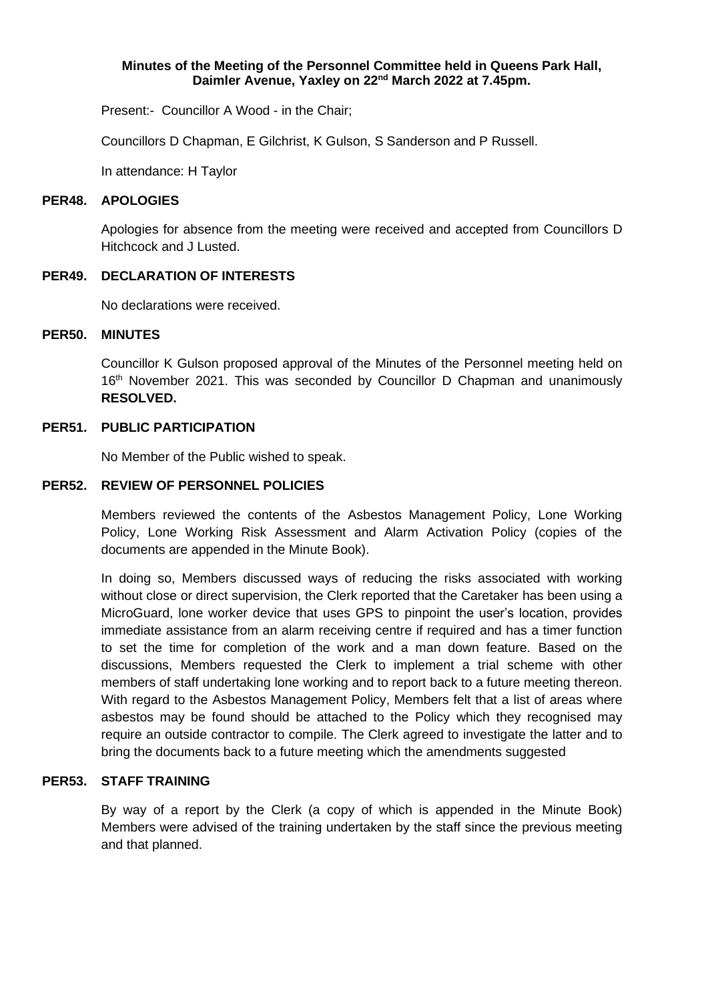### **Minutes of the Meeting of the Personnel Committee held in Queens Park Hall, Daimler Avenue, Yaxley on 22nd March 2022 at 7.45pm.**

Present:- Councillor A Wood - in the Chair;

Councillors D Chapman, E Gilchrist, K Gulson, S Sanderson and P Russell.

In attendance: H Taylor

#### **PER48. APOLOGIES**

Apologies for absence from the meeting were received and accepted from Councillors D Hitchcock and J Lusted.

### **PER49. DECLARATION OF INTERESTS**

No declarations were received.

### **PER50. MINUTES**

Councillor K Gulson proposed approval of the Minutes of the Personnel meeting held on 16<sup>th</sup> November 2021. This was seconded by Councillor D Chapman and unanimously **RESOLVED.**

### **PER51. PUBLIC PARTICIPATION**

No Member of the Public wished to speak.

### **PER52. REVIEW OF PERSONNEL POLICIES**

Members reviewed the contents of the Asbestos Management Policy, Lone Working Policy, Lone Working Risk Assessment and Alarm Activation Policy (copies of the documents are appended in the Minute Book).

In doing so, Members discussed ways of reducing the risks associated with working without close or direct supervision, the Clerk reported that the Caretaker has been using a MicroGuard, lone worker device that uses GPS to pinpoint the user's location, provides immediate assistance from an alarm receiving centre if required and has a timer function to set the time for completion of the work and a man down feature. Based on the discussions, Members requested the Clerk to implement a trial scheme with other members of staff undertaking lone working and to report back to a future meeting thereon. With regard to the Asbestos Management Policy, Members felt that a list of areas where asbestos may be found should be attached to the Policy which they recognised may require an outside contractor to compile. The Clerk agreed to investigate the latter and to bring the documents back to a future meeting which the amendments suggested

## **PER53. STAFF TRAINING**

By way of a report by the Clerk (a copy of which is appended in the Minute Book) Members were advised of the training undertaken by the staff since the previous meeting and that planned.